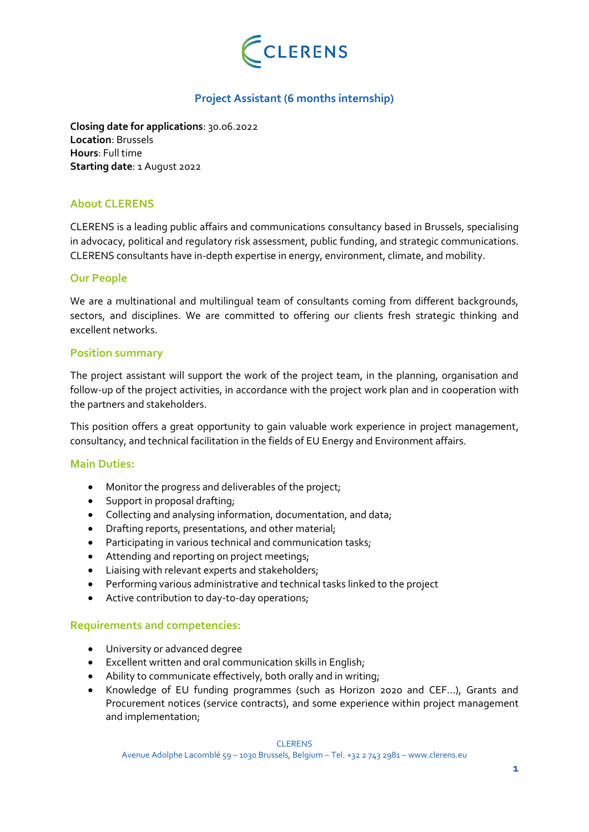

# **Project Assistant (6 months internship)**

**Closing date for applications**: 30.06.2022 **Location**: Brussels **Hours**: Full time **Starting date**: 1 August 2022

## **About CLERENS**

CLERENS is a leading public affairs and communications consultancy based in Brussels, specialising in advocacy, political and regulatory risk assessment, public funding, and strategic communications. CLERENS consultants have in-depth expertise in energy, environment, climate, and mobility.

## **Our People**

We are a multinational and multilingual team of consultants coming from different backgrounds, sectors, and disciplines. We are committed to offering our clients fresh strategic thinking and excellent networks.

## **Position summary**

The project assistant will support the work of the project team, in the planning, organisation and follow-up of the project activities, in accordance with the project work plan and in cooperation with the partners and stakeholders.

This position offers a great opportunity to gain valuable work experience in project management, consultancy, and technical facilitation in the fields of EU Energy and Environment affairs.

## **Main Duties:**

- Monitor the progress and deliverables of the project;
- Support in proposal drafting;
- Collecting and analysing information, documentation, and data;
- Drafting reports, presentations, and other material;
- Participating in various technical and communication tasks;
- Attending and reporting on project meetings;
- Liaising with relevant experts and stakeholders;
- Performing various administrative and technical tasks linked to the project
- Active contribution to day-to-day operations;

## **Requirements and competencies:**

- University or advanced degree
- Excellent written and oral communication skills in English;
- Ability to communicate effectively, both orally and in writing;
- Knowledge of EU funding programmes (such as Horizon 2020 and CEF…), Grants and Procurement notices (service contracts), and some experience within project management and implementation;